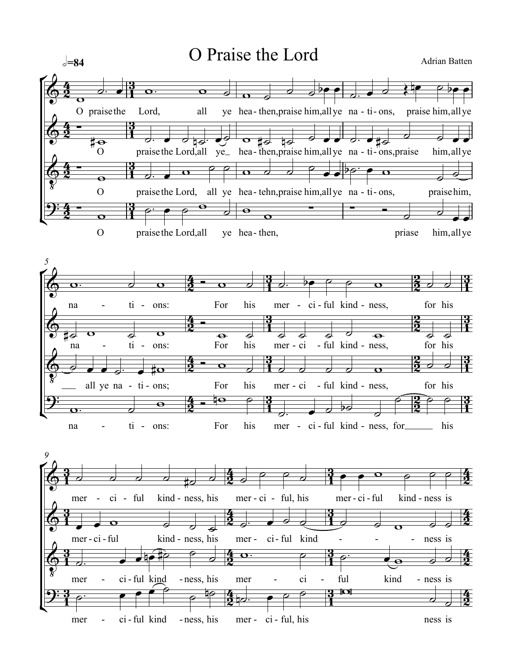